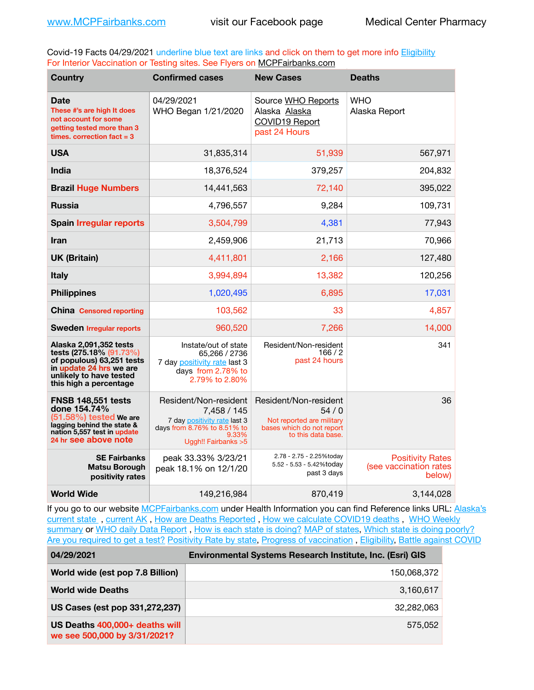Covid-19 Facts 04/29/2021 underline blue text are links and click on them to get more info **Eligibility** For Interior Vaccination or Testing sites. See Flyers on [MCPFairbanks.com](http://www.MCPFairbanks.com)

| <b>Country</b>                                                                                                                                                 | <b>Confirmed cases</b>                                                                                                              | <b>New Cases</b>                                                                                              | <b>Deaths</b>                                               |
|----------------------------------------------------------------------------------------------------------------------------------------------------------------|-------------------------------------------------------------------------------------------------------------------------------------|---------------------------------------------------------------------------------------------------------------|-------------------------------------------------------------|
| <b>Date</b><br>These #'s are high It does<br>not account for some<br>getting tested more than 3<br>times, correction fact $=$ 3                                | 04/29/2021<br>WHO Began 1/21/2020                                                                                                   | Source WHO Reports<br>Alaska Alaska<br><b>COVID19 Report</b><br>past 24 Hours                                 | <b>WHO</b><br>Alaska Report                                 |
| <b>USA</b>                                                                                                                                                     | 31,835,314                                                                                                                          | 51,939                                                                                                        | 567,971                                                     |
| India                                                                                                                                                          | 18,376,524                                                                                                                          | 379,257                                                                                                       | 204,832                                                     |
| <b>Brazil Huge Numbers</b>                                                                                                                                     | 14,441,563                                                                                                                          | 72,140                                                                                                        | 395,022                                                     |
| <b>Russia</b>                                                                                                                                                  | 4,796,557                                                                                                                           | 9,284                                                                                                         | 109,731                                                     |
| <b>Spain Irregular reports</b>                                                                                                                                 | 3,504,799                                                                                                                           | 4,381                                                                                                         | 77,943                                                      |
| <b>Iran</b>                                                                                                                                                    | 2,459,906                                                                                                                           | 21,713                                                                                                        | 70,966                                                      |
| <b>UK (Britain)</b>                                                                                                                                            | 4,411,801                                                                                                                           | 2,166                                                                                                         | 127,480                                                     |
| <b>Italy</b>                                                                                                                                                   | 3,994,894                                                                                                                           | 13,382                                                                                                        | 120,256                                                     |
| <b>Philippines</b>                                                                                                                                             | 1,020,495                                                                                                                           | 6,895                                                                                                         | 17,031                                                      |
| <b>China Censored reporting</b>                                                                                                                                | 103,562                                                                                                                             | 33                                                                                                            | 4,857                                                       |
| <b>Sweden Irregular reports</b>                                                                                                                                | 960,520                                                                                                                             | 7,266                                                                                                         | 14,000                                                      |
| Alaska 2,091,352 tests<br>tests (275.18% (91.73%)<br>of populous) 63,251 tests<br>in update 24 hrs we are<br>unlikely to have tested<br>this high a percentage | Instate/out of state<br>65,266 / 2736<br>7 day positivity rate last 3<br>days from 2.78% to<br>2.79% to 2.80%                       | Resident/Non-resident<br>166/2<br>past 24 hours                                                               | 341                                                         |
| <b>FNSB 148,551 tests</b><br>done 154.74%<br>(51.58%) tested We are<br>lagging behind the state &<br>nation 5,557 test in update<br>24 hr see above note       | Resident/Non-resident<br>7,458 / 145<br>7 day positivity rate last 3<br>days from 8.76% to 8.51% to<br>9.33%<br>Uggh!! Fairbanks >5 | Resident/Non-resident<br>54/0<br>Not reported are military<br>bases which do not report<br>to this data base. | 36                                                          |
| <b>SE Fairbanks</b><br><b>Matsu Borough</b><br>positivity rates                                                                                                | peak 33.33% 3/23/21<br>peak 18.1% on 12/1/20                                                                                        | 2.78 - 2.75 - 2.25%today<br>5.52 - 5.53 - 5.42%today<br>past 3 days                                           | <b>Positivity Rates</b><br>(see vaccination rates<br>below) |
| <b>World Wide</b>                                                                                                                                              | 149,216,984                                                                                                                         | 870,419                                                                                                       | 3,144,028                                                   |

If you go to our website [MCPFairbanks.com](http://www.MCPFairbanks.com) under Health Information you can find Reference links URL: Alaska's [current state](https://coronavirus-response-alaska-dhss.hub.arcgis.com) , [current AK](http://dhss.alaska.gov/dph/Epi/id/Pages/COVID-19/communications.aspx#cases) , [How are Deaths Reported](http://dhss.alaska.gov/dph/Epi/id/Pages/COVID-19/deathcounts.aspx) , [How we calculate COVID19 deaths](https://coronavirus-response-alaska-dhss.hub.arcgis.com/search?collection=Document&groupIds=41ccb3344ebc4bd682c74073eba21f42) , [WHO Weekly](http://www.who.int)  [summary](http://www.who.int) or [WHO daily Data Report](https://covid19.who.int/table), [How is each state is doing?](https://www.msn.com/en-us/news/us/state-by-state-coronavirus-news/ar-BB13E1PX?fbclid=IwAR0_OBJH7lSyTN3ug_MsOeFnNgB1orTa9OBgilKJ7dhnwlVvHEsptuKkj1c) [MAP of states,](https://www.nationalgeographic.com/science/graphics/graphic-tracking-coronavirus-infections-us?cmpid=org=ngp::mc=crm-email::src=ngp::cmp=editorial::add=SpecialEdition_20210305&rid=B9A6DF5992658E8E35CE023113CFEA4C) [Which state is doing poorly?](https://bestlifeonline.com/covid-outbreak-your-state/?utm_source=nsltr&utm_medium=email&utm_content=covid-outbreak-your-state&utm_campaign=launch) [Are you required to get a test?](http://dhss.alaska.gov/dph/Epi/id/SiteAssets/Pages/HumanCoV/Whattodoafteryourtest.pdf) [Positivity Rate by state](https://coronavirus.jhu.edu/testing/individual-states/alaska), Progress of vaccination, [Eligibility,](http://dhss.alaska.gov/dph/Epi/id/Pages/COVID-19/VaccineAvailability.aspx) [Battle against COVID](https://www.nationalgeographic.com/science/graphics/graphic-tracking-coronavirus-infections-us?cmpid=org=ngp::mc=crm-email::src=ngp::cmp=editorial::add=SpecialEdition_20210219&rid=B9A6DF5992658E8E35CE023113CFEA4C)

| 04/29/2021                                                     | Environmental Systems Research Institute, Inc. (Esri) GIS |  |
|----------------------------------------------------------------|-----------------------------------------------------------|--|
| World wide (est pop 7.8 Billion)                               | 150,068,372                                               |  |
| <b>World wide Deaths</b>                                       | 3,160,617                                                 |  |
| US Cases (est pop 331,272,237)                                 | 32,282,063                                                |  |
| US Deaths 400,000+ deaths will<br>we see 500,000 by 3/31/2021? | 575.052                                                   |  |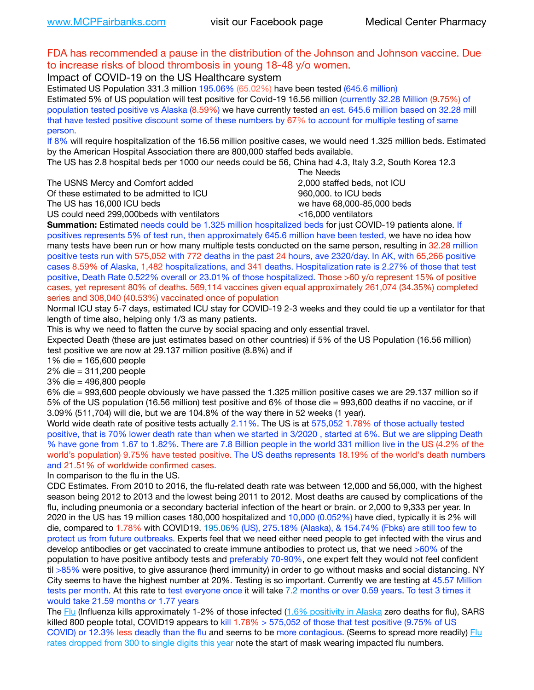## FDA has recommended a pause in the distribution of the Johnson and Johnson vaccine. Due to increase risks of blood thrombosis in young 18-48 y/o women.

Impact of COVID-19 on the US Healthcare system

Estimated US Population 331.3 million 195.06% (65.02%) have been tested (645.6 million) Estimated 5% of US population will test positive for Covid-19 16.56 million (currently 32.28 Million (9.75%) of population tested positive vs Alaska (8.59%) we have currently tested an est. 645.6 million based on 32.28 mill that have tested positive discount some of these numbers by 67% to account for multiple testing of same person.

If 8% will require hospitalization of the 16.56 million positive cases, we would need 1.325 million beds. Estimated by the American Hospital Association there are 800,000 staffed beds available.

The US has 2.8 hospital beds per 1000 our needs could be 56, China had 4.3, Italy 3.2, South Korea 12.3

The USNS Mercy and Comfort added 2,000 staffed beds, not ICU

Of these estimated to be admitted to ICU **860,000**, to ICU beds

 The Needs The US has 16,000 ICU beds we have 68,000-85,000 beds

US could need 299,000 beds with ventilators  $\leq$ 16,000 ventilators

**Summation:** Estimated needs could be 1.325 million hospitalized beds for just COVID-19 patients alone. If positives represents 5% of test run, then approximately 645.6 million have been tested, we have no idea how many tests have been run or how many multiple tests conducted on the same person, resulting in 32.28 million positive tests run with 575,052 with 772 deaths in the past 24 hours, ave 2320/day. In AK, with 65,266 positive cases 8.59% of Alaska, 1,482 hospitalizations, and 341 deaths. Hospitalization rate is 2.27% of those that test positive, Death Rate 0.522% overall or 23.01% of those hospitalized. Those >60 y/o represent 15% of positive cases, yet represent 80% of deaths. 569,114 vaccines given equal approximately 261,074 (34.35%) completed series and 308,040 (40.53%) vaccinated once of population

Normal ICU stay 5-7 days, estimated ICU stay for COVID-19 2-3 weeks and they could tie up a ventilator for that length of time also, helping only 1/3 as many patients.

This is why we need to flatten the curve by social spacing and only essential travel.

Expected Death (these are just estimates based on other countries) if 5% of the US Population (16.56 million) test positive we are now at 29.137 million positive (8.8%) and if

1% die = 165,600 people

2% die = 311,200 people

3% die = 496,800 people

6% die = 993,600 people obviously we have passed the 1.325 million positive cases we are 29.137 million so if 5% of the US population (16.56 million) test positive and 6% of those die = 993,600 deaths if no vaccine, or if 3.09% (511,704) will die, but we are 104.8% of the way there in 52 weeks (1 year).

World wide death rate of positive tests actually 2.11%. The US is at 575,052 1.78% of those actually tested positive, that is 70% lower death rate than when we started in 3/2020 , started at 6%. But we are slipping Death % have gone from 1.67 to 1.82%. There are 7.8 Billion people in the world 331 million live in the US (4.2% of the world's population) 9.75% have tested positive. The US deaths represents 18.19% of the world's death numbers and 21.51% of worldwide confirmed cases.

In comparison to the flu in the US.

CDC Estimates. From 2010 to 2016, the flu-related death rate was between 12,000 and 56,000, with the highest season being 2012 to 2013 and the lowest being 2011 to 2012. Most deaths are caused by complications of the flu, including pneumonia or a secondary bacterial infection of the heart or brain. or 2,000 to 9,333 per year. In 2020 in the US has 19 million cases 180,000 hospitalized and 10,000 (0.052%) have died, typically it is 2% will die, compared to 1.78% with COVID19. 195.06% (US), 275.18% (Alaska), & 154.74% (Fbks) are still too few to protect us from future outbreaks. Experts feel that we need either need people to get infected with the virus and develop antibodies or get vaccinated to create immune antibodies to protect us, that we need >60% of the population to have positive antibody tests and preferably 70-90%, one expert felt they would not feel confident til >85% were positive, to give assurance (herd immunity) in order to go without masks and social distancing. NY City seems to have the highest number at 20%. Testing is so important. Currently we are testing at 45.57 Million tests per month. At this rate to test everyone once it will take 7.2 months or over 0.59 years. To test 3 times it would take 21.59 months or 1.77 years

The [Flu](https://lnks.gd/l/eyJhbGciOiJIUzI1NiJ9.eyJidWxsZXRpbl9saW5rX2lkIjoxMDMsInVyaSI6ImJwMjpjbGljayIsImJ1bGxldGluX2lkIjoiMjAyMTAyMjYuMzYwNDA3NTEiLCJ1cmwiOiJodHRwczovL3d3dy5jZGMuZ292L2ZsdS93ZWVrbHkvb3ZlcnZpZXcuaHRtIn0.ePMA_hsZ-pTnhWSyg1gHvHWYTu2XceVOt0JejxvP1WE/s/500544915/br/98428119752-l) (Influenza kills approximately 1-2% of those infected ([1.6% positivity in Alaska](http://dhss.alaska.gov/dph/Epi/id/SiteAssets/Pages/influenza/trends/Snapshot.pdf) zero deaths for flu), SARS killed 800 people total, COVID19 appears to kill  $1.78\% > 575,052$  of those that test positive (9.75% of US COVID) or 12.3% less deadly than the flu and seems to be more contagious. (Seems to spread more readily) Flu [rates dropped from 300 to single digits this year](https://lnks.gd/l/eyJhbGciOiJIUzI1NiJ9.eyJidWxsZXRpbl9saW5rX2lkIjoxMDEsInVyaSI6ImJwMjpjbGljayIsImJ1bGxldGluX2lkIjoiMjAyMTAyMjYuMzYwNDA3NTEiLCJ1cmwiOiJodHRwOi8vZGhzcy5hbGFza2EuZ292L2RwaC9FcGkvaWQvUGFnZXMvaW5mbHVlbnphL2ZsdWluZm8uYXNweCJ9.oOe3nt2fww6XpsNhb4FZfmtPfPa-irGaldpkURBJhSo/s/500544915/br/98428119752-l) note the start of mask wearing impacted flu numbers.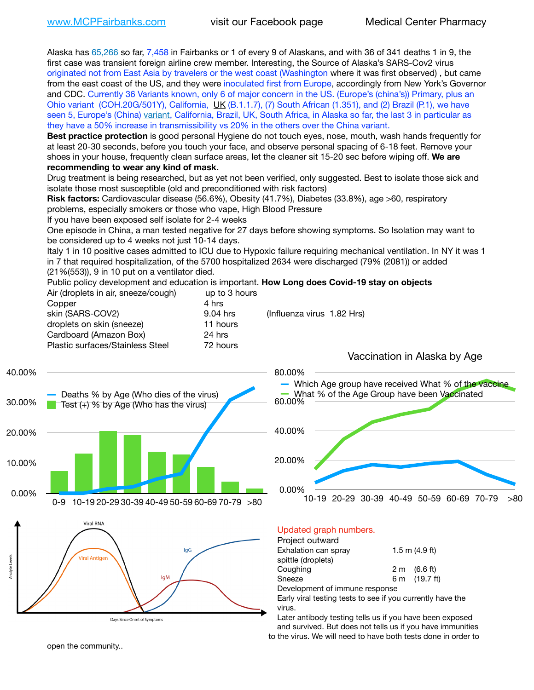Alaska has 65,266 so far, 7,458 in Fairbanks or 1 of every 9 of Alaskans, and with 36 of 341 deaths 1 in 9, the first case was transient foreign airline crew member. Interesting, the Source of Alaska's SARS-Cov2 virus originated not from East Asia by travelers or the west coast (Washington where it was first observed) , but came from the east coast of the US, and they were inoculated first from Europe, accordingly from New York's Governor and CDC. Currently 36 Variants known, only 6 of major concern in the US. (Europe's (china's)) Primary, plus an Ohio variant (COH.20G/501Y), California, [UK](https://www.cdc.gov/coronavirus/2019-ncov/transmission/variant-cases.html) (B.1.1.7), (7) South African (1.351), and (2) Brazil (P.1), we have seen 5, Europe's (China) [variant,](https://www.webmd.com/lung/news/20210318/cdc-who-create-threat-levels-for-covid-variants?ecd=wnl_cvd_031921&ctr=wnl-cvd-031921&mb=kYbf7DsHb7YGjh/1RUkcAW0T6iorImAU1TDZh18RYs0=_Support_titleLink_2) California, Brazil, UK, South Africa, in Alaska so far, the last 3 in particular as they have a 50% increase in transmissibility vs 20% in the others over the China variant.

**Best practice protection** is good personal Hygiene do not touch eyes, nose, mouth, wash hands frequently for at least 20-30 seconds, before you touch your face, and observe personal spacing of 6-18 feet. Remove your shoes in your house, frequently clean surface areas, let the cleaner sit 15-20 sec before wiping off. **We are recommending to wear any kind of mask.**

Drug treatment is being researched, but as yet not been verified, only suggested. Best to isolate those sick and isolate those most susceptible (old and preconditioned with risk factors)

**Risk factors:** Cardiovascular disease (56.6%), Obesity (41.7%), Diabetes (33.8%), age >60, respiratory problems, especially smokers or those who vape, High Blood Pressure

If you have been exposed self isolate for 2-4 weeks

One episode in China, a man tested negative for 27 days before showing symptoms. So Isolation may want to be considered up to 4 weeks not just 10-14 days.

Italy 1 in 10 positive cases admitted to ICU due to Hypoxic failure requiring mechanical ventilation. In NY it was 1 in 7 that required hospitalization, of the 5700 hospitalized 2634 were discharged (79% (2081)) or added (21%(553)), 9 in 10 put on a ventilator died.

Public policy development and education is important. **How Long does Covid-19 stay on objects**  $\Delta$ ir (dropleto in air, sneeze/cough) up to 3 hours

| All (dioplets in all, sheeze/cough)     | ap to 3 Hours |                            |
|-----------------------------------------|---------------|----------------------------|
| Copper                                  | 4 hrs         |                            |
| skin (SARS-COV2)                        | 9.04 hrs      | (Influenza virus 1.82 Hrs) |
| droplets on skin (sneeze)               | 11 hours      |                            |
| Cardboard (Amazon Box)                  | 24 hrs        |                            |
| <b>Plastic surfaces/Stainless Steel</b> | 72 hours      |                            |
|                                         |               |                            |







Vaccination in Alaska by Age



### Updated graph numbers.

#### Project outward

| Exhalation can spray           | $1.5$ m $(4.9$ ft)     |
|--------------------------------|------------------------|
| spittle (droplets)             |                        |
| Coughing                       | $2 \text{ m}$ (6.6 ft) |
| Sneeze                         | 6 m (19.7 ft)          |
| Development of immune response |                        |

Early viral testing tests to see if you currently have the virus.

Later antibody testing tells us if you have been exposed and survived. But does not tells us if you have immunities to the virus. We will need to have both tests done in order to

open the community..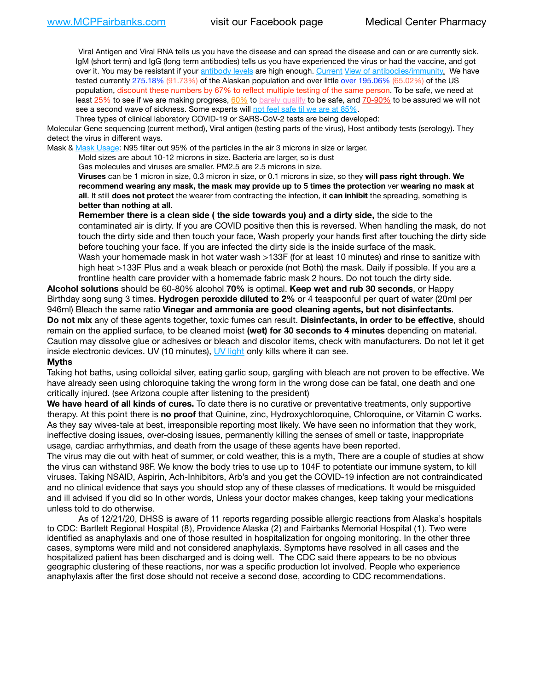Viral Antigen and Viral RNA tells us you have the disease and can spread the disease and can or are currently sick. IgM (short term) and IgG (long term antibodies) tells us you have experienced the virus or had the vaccine, and got over it. You may be resistant if your [antibody levels](https://www.cdc.gov/coronavirus/2019-ncov/lab/resources/antibody-tests.html) are high enough. [Current](https://l.facebook.com/l.php?u=https://www.itv.com/news/2020-10-26/covid-19-antibody-levels-reduce-over-time-study-finds?fbclid=IwAR3Dapzh1qIH1EIOdUQI2y8THf7jfA4KBCaJz8Qg-8xe1YsrR4nsAHDIXSY&h=AT30nut8pkqp0heVuz5W2rT2WFFm-2Ab52BsJxZZCNlGsX58IpPkuVEPULbIUV_M16MAukx1Kwb657DPXxsgDN1rpOQ4gqBtQsmVYiWpnHPJo2RQsU6CPMd14lgLnQnFWxfVi6zvmw&__tn__=-UK-R&c%5B0%5D=AT1GaRAfR_nGAyqcn7TI1-PpvqOqEKXHnz6TDWvRStMnOSH7boQDvTiwTOc6VId9UES6LKiOmm2m88wKCoolkJyOFvakt2Z1Mw8toYWGGoWW23r0MNVBl7cYJXB_UOvGklNHaNnaNr1_S7NhT3BSykNOBg) [View of antibodies/immunity](https://www.livescience.com/antibodies.html)[.](https://www.itv.com/news/2020-10-26/covid-19-antibody-levels-reduce-over-time-study-finds) We have tested currently 275.18% (91.73%) of the Alaskan population and over little over 195.06% (65.02%) of the US population, discount these numbers by 67% to reflect multiple testing of the same person. To be safe, we need at least 25% to see if we are making progress, [60%](https://www.jhsph.edu/covid-19/articles/achieving-herd-immunity-with-covid19.html) to [barely qualify](https://www.nature.com/articles/d41586-020-02948-4) to be safe, and [70-90%](https://www.mayoclinic.org/herd-immunity-and-coronavirus/art-20486808) to be assured we will not see a second wave of sickness. Some experts will [not feel safe til we are at 85%.](https://www.bannerhealth.com/healthcareblog/teach-me/what-is-herd-immunity)

Three types of clinical laboratory COVID-19 or SARS-CoV-2 tests are being developed:

Molecular Gene sequencing (current method), Viral antigen (testing parts of the virus), Host antibody tests (serology). They detect the virus in different ways.

Mask & [Mask Usage:](https://www.nationalgeographic.com/history/2020/03/how-cities-flattened-curve-1918-spanish-flu-pandemic-coronavirus/) N95 filter out 95% of the particles in the air 3 microns in size or larger.

Mold sizes are about 10-12 microns in size. Bacteria are larger, so is dust

Gas molecules and viruses are smaller. PM2.5 are 2.5 microns in size.

**Viruses** can be 1 micron in size, 0.3 micron in size, or 0.1 microns in size, so they **will pass right through**. **We recommend wearing any mask, the mask may provide up to 5 times the protection** ver **wearing no mask at all**. It still **does not protect** the wearer from contracting the infection, it **can inhibit** the spreading, something is **better than nothing at all**.

**Remember there is a clean side ( the side towards you) and a dirty side,** the side to the contaminated air is dirty. If you are COVID positive then this is reversed. When handling the mask, do not touch the dirty side and then touch your face, Wash properly your hands first after touching the dirty side before touching your face. If you are infected the dirty side is the inside surface of the mask. Wash your homemade mask in hot water wash >133F (for at least 10 minutes) and rinse to sanitize with high heat >133F Plus and a weak bleach or peroxide (not Both) the mask. Daily if possible. If you are a frontline health care provider with a homemade fabric mask 2 hours. Do not touch the dirty side.

**Alcohol solutions** should be 60-80% alcohol **70%** is optimal. **Keep wet and rub 30 seconds**, or Happy Birthday song sung 3 times. **Hydrogen peroxide diluted to 2%** or 4 teaspoonful per quart of water (20ml per 946ml) Bleach the same ratio **Vinegar and ammonia are good cleaning agents, but not disinfectants**. **Do not mix** any of these agents together, toxic fumes can result. **Disinfectants, in order to be effective**, should remain on the applied surface, to be cleaned moist **(wet) for 30 seconds to 4 minutes** depending on material. Caution may dissolve glue or adhesives or bleach and discolor items, check with manufacturers. Do not let it get inside electronic devices. UV (10 minutes), [UV light](http://www.docreviews.me/best-uv-boxes-2020/?fbclid=IwAR3bvFtXB48OoBBSvYvTEnKuHNPbipxM6jUo82QUSw9wckxjC7wwRZWabGw) only kills where it can see.

#### **Myths**

Taking hot baths, using colloidal silver, eating garlic soup, gargling with bleach are not proven to be effective. We have already seen using chloroquine taking the wrong form in the wrong dose can be fatal, one death and one critically injured. (see Arizona couple after listening to the president)

**We have heard of all kinds of cures.** To date there is no curative or preventative treatments, only supportive therapy. At this point there is **no proof** that Quinine, zinc, Hydroxychloroquine, Chloroquine, or Vitamin C works. As they say wives-tale at best, irresponsible reporting most likely. We have seen no information that they work, ineffective dosing issues, over-dosing issues, permanently killing the senses of smell or taste, inappropriate usage, cardiac arrhythmias, and death from the usage of these agents have been reported.

The virus may die out with heat of summer, or cold weather, this is a myth, There are a couple of studies at show the virus can withstand 98F. We know the body tries to use up to 104F to potentiate our immune system, to kill viruses. Taking NSAID, Aspirin, Ach-Inhibitors, Arb's and you get the COVID-19 infection are not contraindicated and no clinical evidence that says you should stop any of these classes of medications. It would be misguided and ill advised if you did so In other words, Unless your doctor makes changes, keep taking your medications unless told to do otherwise.

As of 12/21/20, DHSS is aware of 11 reports regarding possible allergic reactions from Alaska's hospitals to CDC: Bartlett Regional Hospital (8), Providence Alaska (2) and Fairbanks Memorial Hospital (1). Two were identified as anaphylaxis and one of those resulted in hospitalization for ongoing monitoring. In the other three cases, symptoms were mild and not considered anaphylaxis. Symptoms have resolved in all cases and the hospitalized patient has been discharged and is doing well. The CDC said there appears to be no obvious geographic clustering of these reactions, nor was a specific production lot involved. People who experience anaphylaxis after the first dose should not receive a second dose, according to CDC recommendations.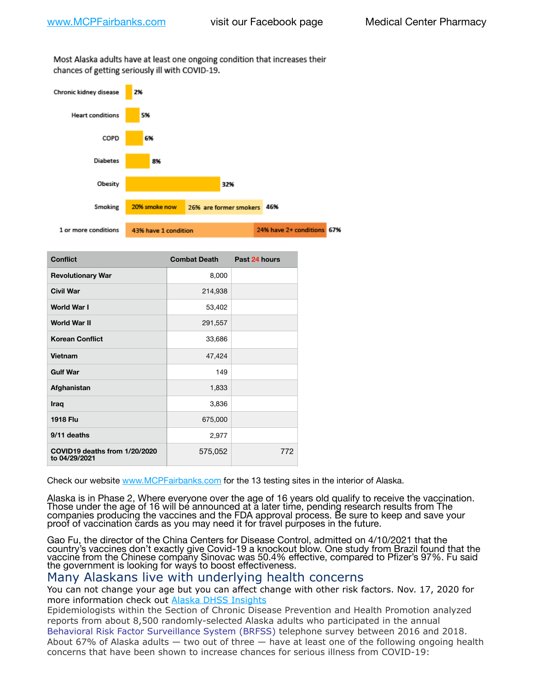Most Alaska adults have at least one ongoing condition that increases their chances of getting seriously ill with COVID-19.



| <b>Conflict</b>                                | <b>Combat Death</b> | Past 24 hours |
|------------------------------------------------|---------------------|---------------|
| <b>Revolutionary War</b>                       | 8,000               |               |
| <b>Civil War</b>                               | 214,938             |               |
| <b>World War I</b>                             | 53,402              |               |
| <b>World War II</b>                            | 291,557             |               |
| <b>Korean Conflict</b>                         | 33,686              |               |
| Vietnam                                        | 47,424              |               |
| <b>Gulf War</b>                                | 149                 |               |
| Afghanistan                                    | 1,833               |               |
| Iraq                                           | 3,836               |               |
| <b>1918 Flu</b>                                | 675,000             |               |
| 9/11 deaths                                    | 2,977               |               |
| COVID19 deaths from 1/20/2020<br>to 04/29/2021 | 575,052             | 772           |

Check our website [www.MCPFairbanks.com](http://www.MCPFairbanks.com) for the 13 testing sites in the interior of Alaska.

Alaska is in Phase 2, Where everyone over the age of 16 years old qualify to receive the vaccination. Those under the age of 16 will be announced at a later time, pending research results from The companies producing the vaccines and the FDA approval process. Be sure to keep and save your proof of vaccination cards as you may need it for travel purposes in the future.

Gao Fu, the director of the China Centers for Disease Control, admitted on 4/10/2021 that the country's vaccines don't exactly give Covid-19 a knockout blow. One study from Brazil found that the vaccine from the Chinese company Sinovac was 50.4% effective, compared to Pfizer's 97%. Fu said the government is looking for ways to boost effectiveness.

## Many Alaskans live with underlying health concerns

You can not change your age but you can affect change with other risk factors. Nov. 17, 2020 for more information check out [Alaska DHSS Insights](http://dhss.alaska.gov/dph/Epi/id/Pages/COVID-19/blog/20201117.aspx)

Epidemiologists within the Section of Chronic Disease Prevention and Health Promotion analyzed reports from about 8,500 randomly-selected Alaska adults who participated in the annual [Behavioral Risk Factor Surveillance System \(BRFSS\)](http://dhss.alaska.gov/dph/Chronic/Pages/brfss/default.aspx) telephone survey between 2016 and 2018. About 67% of Alaska adults — two out of three — have at least one of the following ongoing health concerns that have been shown to increase chances for serious illness from COVID-19: